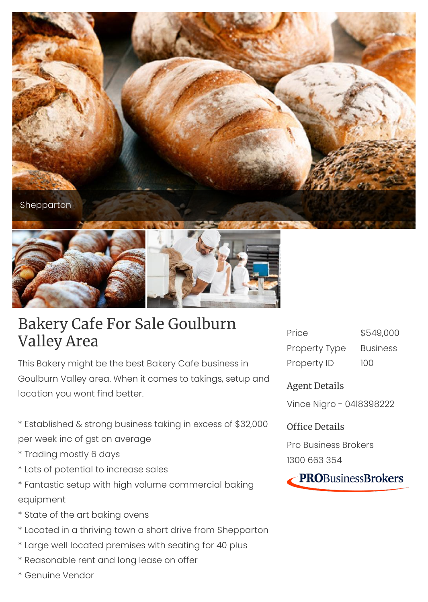



## Bakery Cafe For Sale Goulburn Valley Area

This Bakery might be the best Bakery Cafe business in Goulburn Valley area. When it comes to takings, setup and location you wont find better.

\* Established & strong business taking in excess of \$32,000 per week inc of gst on average

- \* Trading mostly 6 days
- \* Lots of potential to increase sales
- \* Fantastic setup with high volume commercial baking equipment
- \* State of the art baking ovens
- \* Located in a thriving town a short drive from Shepparton
- \* Large well located premises with seating for 40 plus
- \* Reasonable rent and long lease on offer
- \* Genuine Vendor

| Price         | \$549,000       |
|---------------|-----------------|
| Property Type | <b>Business</b> |
| Property ID   | 100             |

Agent Details

Vince Nigro - 0418398222

Office Details

Pro Business Brokers 1300 663 354